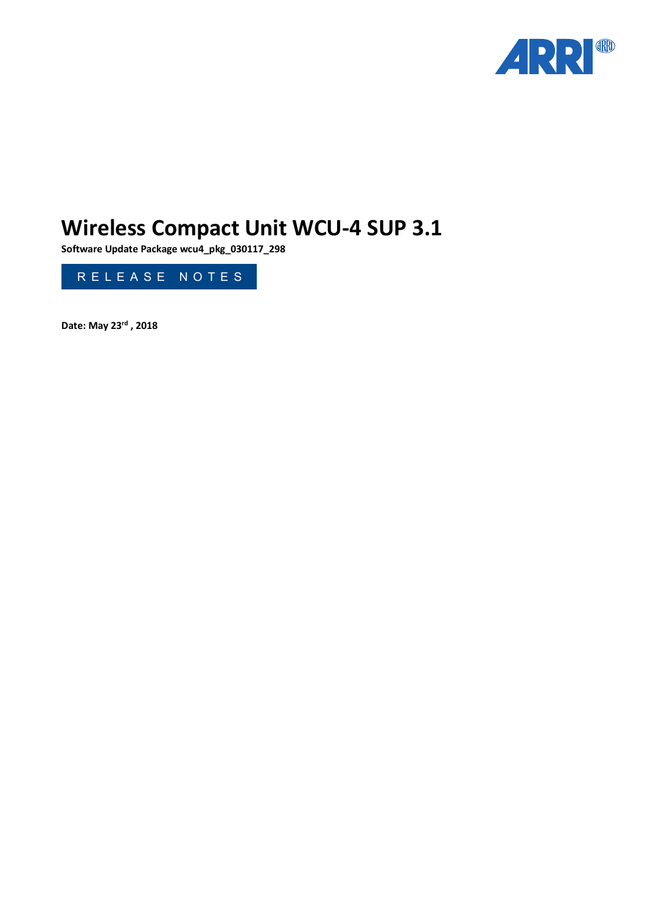

# **Wireless Compact Unit WCU-4 SUP 3.1**

**Software Update Package wcu4\_pkg\_030117\_298**



**Date: May 23rd , 2018**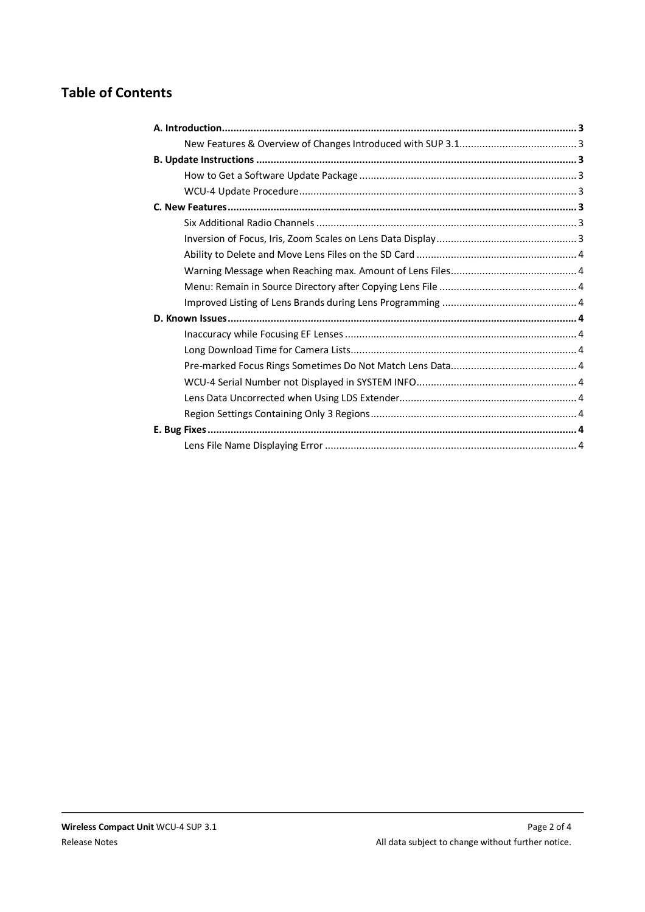# **Table of Contents**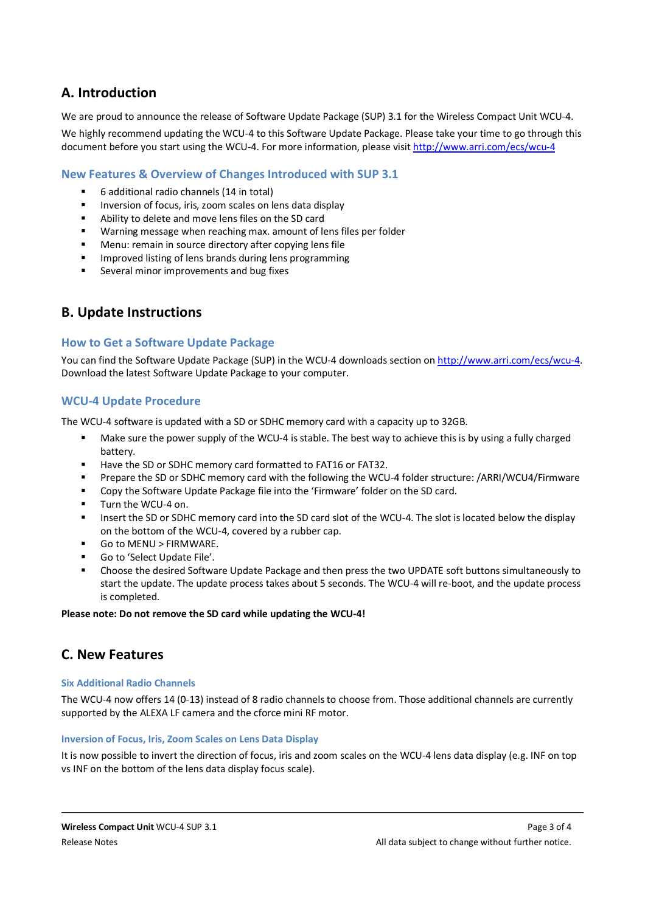# <span id="page-2-0"></span>**A. Introduction**

We are proud to announce the release of Software Update Package (SUP) 3.1 for the Wireless Compact Unit WCU-4.

We highly recommend updating the WCU-4 to this Software Update Package. Please take your time to go through this document before you start using the WCU-4. For more information, please visit http://www.arri.com/ecs/wcu-4

## **[New Features & Overview of Ch](http://www.arri.com/ecs/wcu-4)anges Introduced with SUP 3.1**

- <span id="page-2-1"></span>§ 6 additional radio channels (14 in total)
- Inversion of focus, iris, zoom scales on lens data display
- Ability to delete and move lens files on the SD card
- Warning message when reaching max. amount of lens files per folder
- Menu: remain in source directory after copying lens file
- Improved listing of lens brands during lens programming
- <span id="page-2-3"></span><span id="page-2-2"></span>■ Several minor improvements and bug fixes

# **B. Update Instructions**

#### **How to Get a Software Update Package**

You can find the Software Update Package (SUP) in the WCU-4 downloads section on http://www.arri.com/ecs/wcu-[4.](http://www.arri.com/ecs/wcu-4) [Download the latest Softwar](http://www.arri.com/ecs/wcu-4)e Update Package to your computer.

### **WCU-4 Update Procedure**

The WCU-4 software is updated with a SD or SDHC memory card with a capacity up to 32GB.

- <span id="page-2-4"></span>Make sure the power supply of the WCU-4 is stable. The best way to achieve this is by using a fully charged battery.
- Have the SD or SDHC memory card formatted to FAT16 or FAT32.
- § Prepare the SD or SDHC memory card with the following the WCU-4 folder structure: /ARRI/WCU4/Firmware
- Copy the Software Update Package file into the 'Firmware' folder on the SD card.
- § Turn the WCU-4 on.
- Insert the SD or SDHC memory card into the SD card slot of the WCU-4. The slot is located below the display on the bottom of the WCU-4, covered by a rubber cap.
- Go to MENU > FIRMWARE.
- § Go to 'Select Update File'.
- § Choose the desired Software Update Package and then press the two UPDATE soft buttons simultaneously to start the update. The update process takes about 5 seconds. The WCU-4 will re-boot, and the update process is completed.

#### **Please note: Do not remove the SD card while updating the WCU-4!**

# <span id="page-2-5"></span>**C. New Features**

#### <span id="page-2-6"></span>**Six Additional Radio Channels**

The WCU-4 now offers 14 (0-13) instead of 8 radio channels to choose from. Those additional channels are currently supported by the ALEXA LF camera and the cforce mini RF motor.

#### <span id="page-2-7"></span>**Inversion of Focus, Iris, Zoom Scales on Lens Data Display**

It is now possible to invert the direction of focus, iris and zoom scales on the WCU-4 lens data display (e.g. INF on top vs INF on the bottom of the lens data display focus scale).